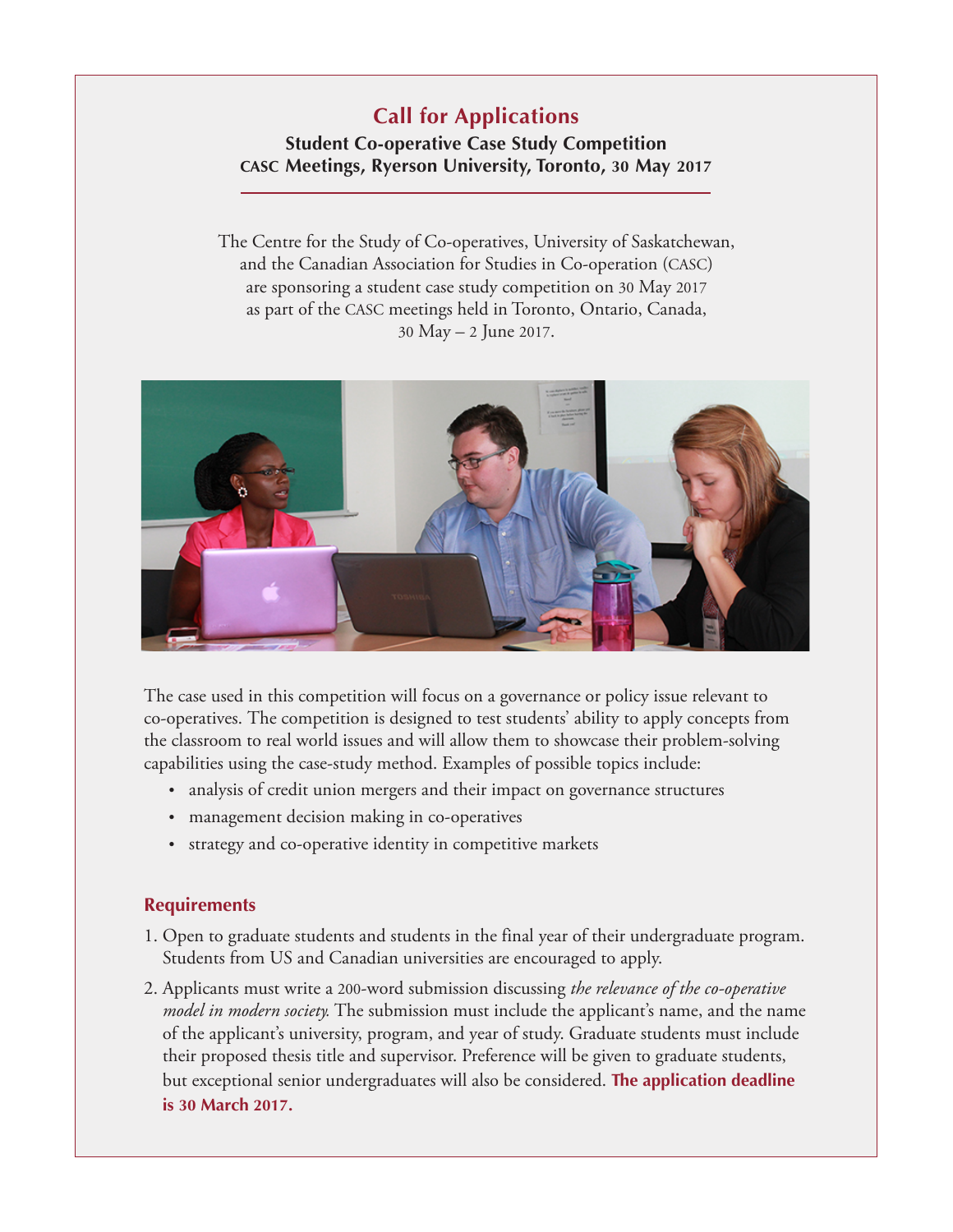# **Call for Applications**

## **Student Co-operative Case Study Competition CASC [Meetings,](http://www.coopresearch.coop/casc-2017-conference-call-for-papers-appel-a-propositions/) Ryerson University, Toronto, 30 May 2017**

The Centre for the Study of Co-operatives, University of Saskatchewan, and the Canadian Association for Studies in [Co-operation](http://www.coopresearch.coop/) (CASC) are sponsoring a student case study competition on 30 May 2017 as part of the CASC meetings held in Toronto, Ontario, Canada, 30 May – 2 June 2017.



The case used in this competition will focus on a governance or policy issue relevant to co-operatives. The competition is designed to test students' ability to apply concepts from the classroom to real world issues and will allow them to showcase their problem-solving capabilities using the case-study method. Examples of possible topics include:

- analysis of credit union mergers and their impact on governance structures
- management decision making in co-operatives
- strategy and co-operative identity in competitive markets

## **Requirements**

- 1. Open to graduate students and students in the final year of their undergraduate program. Students from US and Canadian universities are encouraged to apply.
- 2. Applicants must write a 200-word submission discussing *the relevance of the co-operative model in modern society.* The submission must include the applicant's name, and the name of the applicant's university, program, and year of study. Graduate students must include their proposed thesis title and supervisor. Preference will be given to graduate students, but exceptional senior undergraduates will also be considered. **The application deadline is 30 March 2017.**